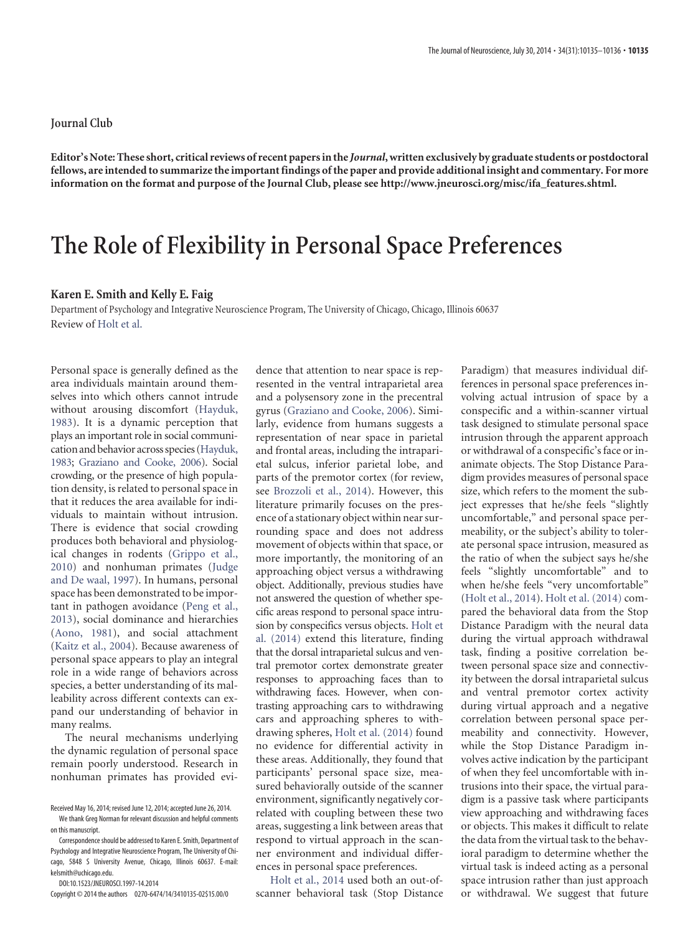## **Journal Club**

**Editor's Note: These short, critical reviews of recent papers in the** *Journal***, written exclusively by graduate students or postdoctoral fellows, are intended to summarize the important findings of the paper and provide additional insight and commentary. For more information on the format and purpose of the Journal Club, please see [http://www.jneurosci.org/misc/ifa\\_features.shtml.](http://www.jneurosci.org/misc/ifa_features.shtml)**

## **The Role of Flexibility in Personal Space Preferences**

## **Karen E. Smith and Kelly E. Faig**

Department of Psychology and Integrative Neuroscience Program, The University of Chicago, Chicago, Illinois 60637 Review of [Holt et al.](http://www.jneurosci.org/content/34/12/4123.full)

Personal space is generally defined as the area individuals maintain around themselves into which others cannot intrude without arousing discomfort [\(Hayduk,](#page-1-0) [1983\)](#page-1-0). It is a dynamic perception that plays an important role in social communication and behavior across species [\(Hayduk,](#page-1-0) [1983;](#page-1-0) [Graziano and Cooke, 2006\)](#page-1-1). Social crowding, or the presence of high population density, is related to personal space in that it reduces the area available for individuals to maintain without intrusion. There is evidence that social crowding produces both behavioral and physiological changes in rodents [\(Grippo et al.,](#page-1-2) [2010\)](#page-1-2) and nonhuman primates [\(Judge](#page-1-3) [and De waal, 1997\)](#page-1-3). In humans, personal space has been demonstrated to be important in pathogen avoidance [\(Peng et al.,](#page-1-4) [2013\)](#page-1-4), social dominance and hierarchies [\(Aono, 1981\)](#page-1-5), and social attachment [\(Kaitz et al., 2004\)](#page-1-6). Because awareness of personal space appears to play an integral role in a wide range of behaviors across species, a better understanding of its malleability across different contexts can expand our understanding of behavior in many realms.

The neural mechanisms underlying the dynamic regulation of personal space remain poorly understood. Research in nonhuman primates has provided evi-

DOI:10.1523/JNEUROSCI.1997-14.2014

kelsmith@uchicago.edu.

Copyright © 2014 the authors 0270-6474/14/3410135-02\$15.00/0

dence that attention to near space is represented in the ventral intraparietal area and a polysensory zone in the precentral gyrus [\(Graziano and Cooke, 2006\)](#page-1-1). Similarly, evidence from humans suggests a representation of near space in parietal and frontal areas, including the intraparietal sulcus, inferior parietal lobe, and parts of the premotor cortex (for review, see [Brozzoli et al., 2014\)](#page-1-7). However, this literature primarily focuses on the presence of a stationary object within near surrounding space and does not address movement of objects within that space, or more importantly, the monitoring of an approaching object versus a withdrawing object. Additionally, previous studies have not answered the question of whether specific areas respond to personal space intrusion by conspecifics versus objects. [Holt et](#page-1-8) [al. \(2014\)](#page-1-8) extend this literature, finding that the dorsal intraparietal sulcus and ventral premotor cortex demonstrate greater responses to approaching faces than to withdrawing faces. However, when contrasting approaching cars to withdrawing cars and approaching spheres to withdrawing spheres, [Holt et al. \(2014\)](#page-1-8) found no evidence for differential activity in these areas. Additionally, they found that participants' personal space size, measured behaviorally outside of the scanner environment, significantly negatively correlated with coupling between these two areas, suggesting a link between areas that respond to virtual approach in the scanner environment and individual differences in personal space preferences.

[Holt et al., 2014](#page-1-8) used both an out-ofscanner behavioral task (Stop Distance Paradigm) that measures individual differences in personal space preferences involving actual intrusion of space by a conspecific and a within-scanner virtual task designed to stimulate personal space intrusion through the apparent approach or withdrawal of a conspecific's face or inanimate objects. The Stop Distance Paradigm provides measures of personal space size, which refers to the moment the subject expresses that he/she feels "slightly uncomfortable," and personal space permeability, or the subject's ability to tolerate personal space intrusion, measured as the ratio of when the subject says he/she feels "slightly uncomfortable" and to when he/she feels "very uncomfortable" [\(Holt et al., 2014\)](#page-1-8). [Holt et al. \(2014\)](#page-1-8) compared the behavioral data from the Stop Distance Paradigm with the neural data during the virtual approach withdrawal task, finding a positive correlation between personal space size and connectivity between the dorsal intraparietal sulcus and ventral premotor cortex activity during virtual approach and a negative correlation between personal space permeability and connectivity. However, while the Stop Distance Paradigm involves active indication by the participant of when they feel uncomfortable with intrusions into their space, the virtual paradigm is a passive task where participants view approaching and withdrawing faces or objects. This makes it difficult to relate the data from the virtual task to the behavioral paradigm to determine whether the virtual task is indeed acting as a personal space intrusion rather than just approach or withdrawal. We suggest that future

Received May 16, 2014; revised June 12, 2014; accepted June 26, 2014. We thank Greg Norman for relevant discussion and helpful comments on this manuscript.

Correspondence should be addressed to Karen E. Smith, Department of Psychology and Integrative Neuroscience Program, The University of Chicago, 5848 S University Avenue, Chicago, Illinois 60637. E-mail: